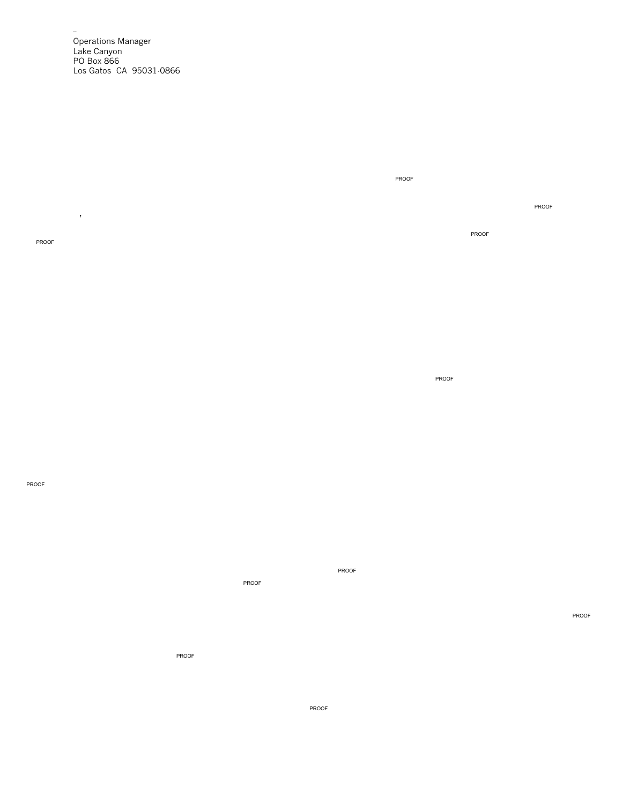Operations Manager Lake Canyon PO Box 866 Los Gatos CA 95031-0866

--

PROOF

,

PROOF

PROOF

PROOF

PROOF

PROOF

PROOF

PROOF PROOF

PROOF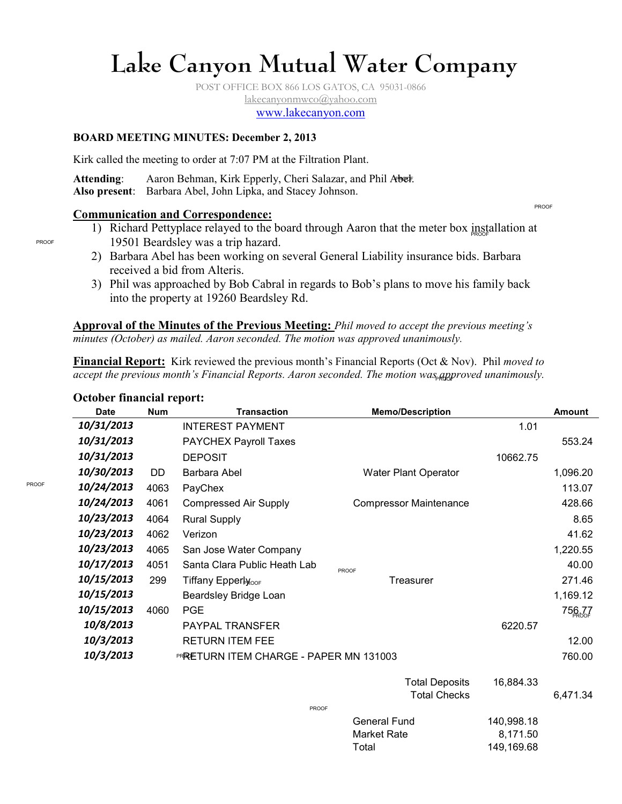# **Lake Canyon Mutual Water Company**

POST OFFICE BOX 866 LOS GATOS, CA 95031-0866 lakecanyonmwco@yahoo.com www.lakecanyon.com

#### **BOARD MEETING MINUTES: December 2, 2013**

Kirk called the meeting to order at 7:07 PM at the Filtration Plant.

Attending: Aaron Behman, Kirk Epperly, Cheri Salazar, and Phil Abel. **Also present**: Barbara Abel, John Lipka, and Stacey Johnson.

#### **Communication and Correspondence:**

- 1) Richard Pettyplace relayed to the board through Aaron that the meter box installation at 19501 Beardsley was a trip hazard.
- 2) Barbara Abel has been working on several General Liability insurance bids. Barbara received a bid from Alteris.
- 3) Phil was approached by Bob Cabral in regards to Bob's plans to move his family back into the property at 19260 Beardsley Rd.

**Approval of the Minutes of the Previous Meeting:** *Phil moved to accept the previous meeting's minutes (October) as mailed. Aaron seconded. The motion was approved unanimously.* 

**Financial Report:** Kirk reviewed the previous month's Financial Reports (Oct & Nov). Phil *moved to*  accept the previous month's Financial Reports. Aaron seconded. The motion was<sub>p</sub>agproved unanimously.

| <b>Date</b> | <b>Num</b>          | <b>Transaction</b>                     | <b>Memo/Description</b>       |            | <b>Amount</b> |  |
|-------------|---------------------|----------------------------------------|-------------------------------|------------|---------------|--|
| 10/31/2013  |                     | <b>INTEREST PAYMENT</b>                |                               | 1.01       |               |  |
| 10/31/2013  |                     | <b>PAYCHEX Payroll Taxes</b>           |                               |            | 553.24        |  |
| 10/31/2013  |                     | <b>DEPOSIT</b>                         |                               | 10662.75   |               |  |
| 10/30/2013  | DD                  | Barbara Abel                           | <b>Water Plant Operator</b>   |            | 1,096.20      |  |
| 10/24/2013  | 4063                | PayChex                                |                               |            | 113.07        |  |
| 10/24/2013  | 4061                | <b>Compressed Air Supply</b>           | <b>Compressor Maintenance</b> |            | 428.66        |  |
| 10/23/2013  | 4064                | <b>Rural Supply</b>                    |                               |            | 8.65          |  |
| 10/23/2013  | 4062                | Verizon                                |                               |            | 41.62         |  |
| 10/23/2013  | 4065                | San Jose Water Company                 |                               |            | 1,220.55      |  |
| 10/17/2013  | 4051                | Santa Clara Public Heath Lab           | <b>PROOF</b>                  |            | 40.00         |  |
| 10/15/2013  | 299                 | Tiffany Epperly <sub>cor</sub>         | <b>Treasurer</b>              |            | 271.46        |  |
| 10/15/2013  |                     | Beardsley Bridge Loan                  |                               |            | 1,169.12      |  |
| 10/15/2013  | 4060                | <b>PGE</b>                             |                               |            | 756,77        |  |
| 10/8/2013   |                     | PAYPAL TRANSFER                        |                               | 6220.57    |               |  |
| 10/3/2013   |                     | <b>RETURN ITEM FEE</b>                 |                               |            | 12.00         |  |
| 10/3/2013   |                     | PRRETURN ITEM CHARGE - PAPER MN 131003 |                               | 760.00     |               |  |
|             |                     |                                        |                               |            |               |  |
|             |                     |                                        | <b>Total Deposits</b>         | 16,884.33  | 6,471.34      |  |
|             | <b>Total Checks</b> |                                        |                               |            |               |  |
|             |                     | <b>PROOF</b>                           | General Fund                  | 140,998.18 |               |  |
|             |                     |                                        | <b>Market Rate</b>            | 8,171.50   |               |  |

Total 149,169.68

PROOF

PROOF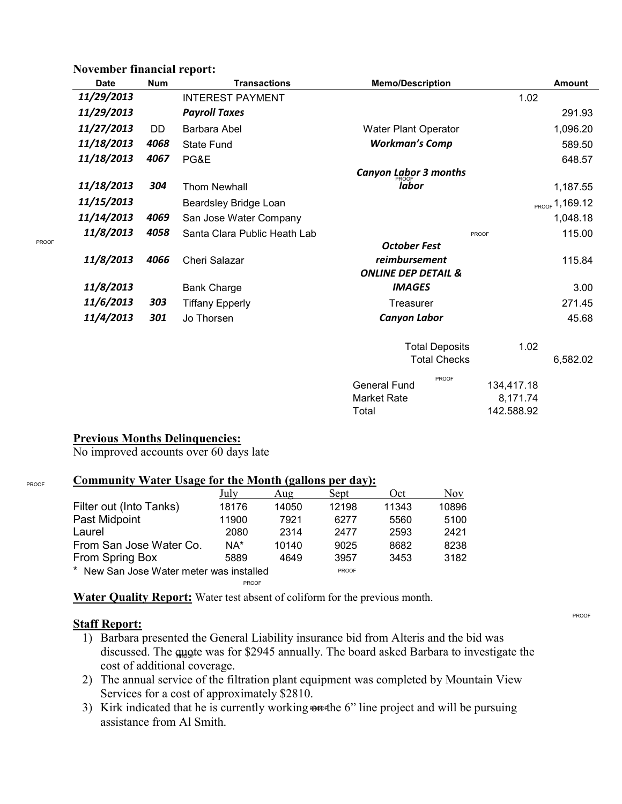# **November financial report:**

| <b>Date</b> | <b>Num</b> | <b>Transactions</b>          | <b>Memo/Description</b>        | <b>Amount</b>          |  |
|-------------|------------|------------------------------|--------------------------------|------------------------|--|
| 11/29/2013  |            | <b>INTEREST PAYMENT</b>      |                                | 1.02                   |  |
| 11/29/2013  |            | <b>Payroll Taxes</b>         |                                | 291.93                 |  |
| 11/27/2013  | DD         | Barbara Abel                 | Water Plant Operator           | 1,096.20               |  |
| 11/18/2013  | 4068       | <b>State Fund</b>            | <b>Workman's Comp</b>          | 589.50                 |  |
| 11/18/2013  | 4067       | PG&E                         |                                | 648.57                 |  |
|             |            |                              | <b>Canyon Labor 3 months</b>   |                        |  |
| 11/18/2013  | 304        | <b>Thom Newhall</b>          | <i><b>labor</b></i>            | 1,187.55               |  |
| 11/15/2013  |            | Beardsley Bridge Loan        |                                | PROOF 1,169.12         |  |
| 11/14/2013  | 4069       | San Jose Water Company       |                                | 1,048.18               |  |
| 11/8/2013   | 4058       | Santa Clara Public Heath Lab |                                | 115.00<br><b>PROOF</b> |  |
|             |            |                              | <b>October Fest</b>            |                        |  |
| 11/8/2013   | 4066       | Cheri Salazar                | reimbursement<br>115.84        |                        |  |
|             |            |                              | <b>ONLINE DEP DETAIL &amp;</b> |                        |  |
| 11/8/2013   |            | <b>Bank Charge</b>           | <b>IMAGES</b>                  | 3.00                   |  |
| 11/6/2013   | 303        | <b>Tiffany Epperly</b>       | Treasurer                      | 271.45                 |  |
| 11/4/2013   | 301        | Jo Thorsen                   | <b>Canyon Labor</b>            | 45.68                  |  |
|             |            |                              |                                |                        |  |
|             |            |                              | <b>Total Deposits</b>          | 1.02                   |  |
|             |            |                              | <b>Total Checks</b>            | 6,582.02               |  |
|             |            |                              | PROOF<br><b>General Fund</b>   | 134,417.18             |  |
|             |            |                              | <b>Market Rate</b>             | 8,171.74               |  |
|             |            |                              | Total                          | 142.588.92             |  |
|             |            |                              |                                |                        |  |

# **Previous Months Delinquencies:**

No improved accounts over 60 days late

# **Community Water Usage for the Month (gallons per day):**

|                                          | July         | Aug   | Sept  | Oct   | Nov   |
|------------------------------------------|--------------|-------|-------|-------|-------|
| Filter out (Into Tanks)                  | 18176        | 14050 | 12198 | 11343 | 10896 |
| Past Midpoint                            | 11900        | 7921  | 6277  | 5560  | 5100  |
| Laurel                                   | 2080         | 2314  | 2477  | 2593  | 2421  |
| From San Jose Water Co.                  | NA*          | 10140 | 9025  | 8682  | 8238  |
| From Spring Box                          | 5889         | 4649  | 3957  | 3453  | 3182  |
| * New San Jose Water meter was installed | <b>PROOF</b> |       |       |       |       |
|                                          | <b>PROOF</b> |       |       |       |       |

**Water Quality Report:** Water test absent of coliform for the previous month.

#### **Staff Report:**

- 1) Barbara presented the General Liability insurance bid from Alteris and the bid was discussed. The quote was for \$2945 annually. The board asked Barbara to investigate the cost of additional coverage.
- 2) The annual service of the filtration plant equipment was completed by Mountain View Services for a cost of approximately \$2810.
- 3) Kirk indicated that he is currently working constructed by line project and will be pursuing assistance from Al Smith.

PROOF

PROOF